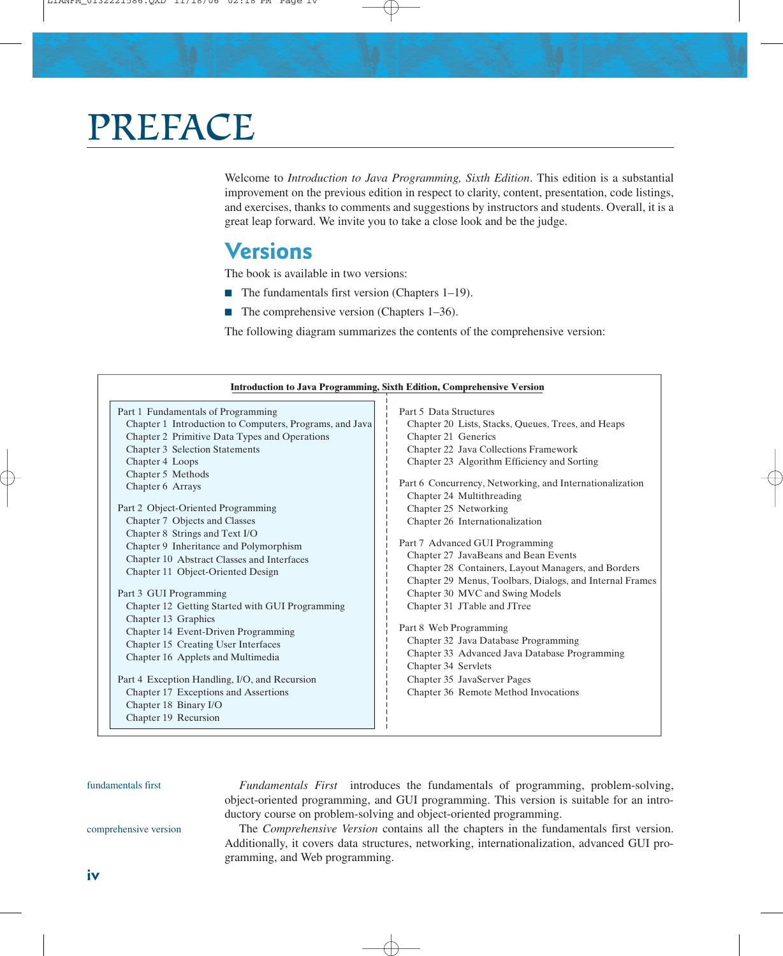# PREFACE

Welcome to *Introduction to Java Programming, Sixth Edition*. This edition is a substantial improvement on the previous edition in respect to clarity, content, presentation, code listings, and exercises, thanks to comments and suggestions by instructors and students. Overall, it is a great leap forward. We invite you to take a close look and be the judge.

### **Versions**

The book is available in two versions:

- The fundamentals first version (Chapters 1–19).
- The comprehensive version (Chapters 1–36).

The following diagram summarizes the contents of the comprehensive version:

| Introduction to Java Programming, Sixth Edition, Comprehensive Version                                                                                                                                                                                                                                                                                                                                                                                                                                                                                                                                                                                                                                                                                                                                                                                     |                                                                                                                                                                                                                                                                                                                                                                                                                                                                                                                                                                                                                                                                                                                                                                                                                                   |  |  |
|------------------------------------------------------------------------------------------------------------------------------------------------------------------------------------------------------------------------------------------------------------------------------------------------------------------------------------------------------------------------------------------------------------------------------------------------------------------------------------------------------------------------------------------------------------------------------------------------------------------------------------------------------------------------------------------------------------------------------------------------------------------------------------------------------------------------------------------------------------|-----------------------------------------------------------------------------------------------------------------------------------------------------------------------------------------------------------------------------------------------------------------------------------------------------------------------------------------------------------------------------------------------------------------------------------------------------------------------------------------------------------------------------------------------------------------------------------------------------------------------------------------------------------------------------------------------------------------------------------------------------------------------------------------------------------------------------------|--|--|
| Part 1 Fundamentals of Programming<br>Chapter 1 Introduction to Computers, Programs, and Java<br>Chapter 2 Primitive Data Types and Operations<br><b>Chapter 3 Selection Statements</b><br>Chapter 4 Loops<br>Chapter 5 Methods<br>Chapter 6 Arrays<br>Part 2 Object-Oriented Programming<br>Chapter 7 Objects and Classes<br>Chapter 8 Strings and Text I/O<br>Chapter 9 Inheritance and Polymorphism<br>Chapter 10 Abstract Classes and Interfaces<br>Chapter 11 Object-Oriented Design<br>Part 3 GUI Programming<br>Chapter 12 Getting Started with GUI Programming<br>Chapter 13 Graphics<br>Chapter 14 Event-Driven Programming<br>Chapter 15 Creating User Interfaces<br>Chapter 16 Applets and Multimedia<br>Part 4 Exception Handling, I/O, and Recursion<br>Chapter 17 Exceptions and Assertions<br>Chapter 18 Binary I/O<br>Chapter 19 Recursion | Part 5 Data Structures<br>Chapter 20 Lists, Stacks, Queues, Trees, and Heaps<br>Chapter 21 Generics<br>Chapter 22 Java Collections Framework<br>Chapter 23 Algorithm Efficiency and Sorting<br>Part 6 Concurrency, Networking, and Internationalization<br>Chapter 24 Multithreading<br>Chapter 25 Networking<br>Chapter 26 Internationalization<br>Part 7 Advanced GUI Programming<br>Chapter 27 JavaBeans and Bean Events<br>Chapter 28 Containers, Layout Managers, and Borders<br>Chapter 29 Menus, Toolbars, Dialogs, and Internal Frames<br>Chapter 30 MVC and Swing Models<br>Chapter 31 JTable and JTree<br>Part 8 Web Programming<br>Chapter 32 Java Database Programming<br>Chapter 33 Advanced Java Database Programming<br>Chapter 34 Servlets<br>Chapter 35 JavaServer Pages<br>Chapter 36 Remote Method Invocations |  |  |

### fundamentals first

*Fundamentals First* introduces the fundamentals of programming, problem-solving, object-oriented programming, and GUI programming. This version is suitable for an introductory course on problem-solving and object-oriented programming.

comprehensive version

The *Comprehensive Version* contains all the chapters in the fundamentals first version. Additionally, it covers data structures, networking, internationalization, advanced GUI programming, and Web programming.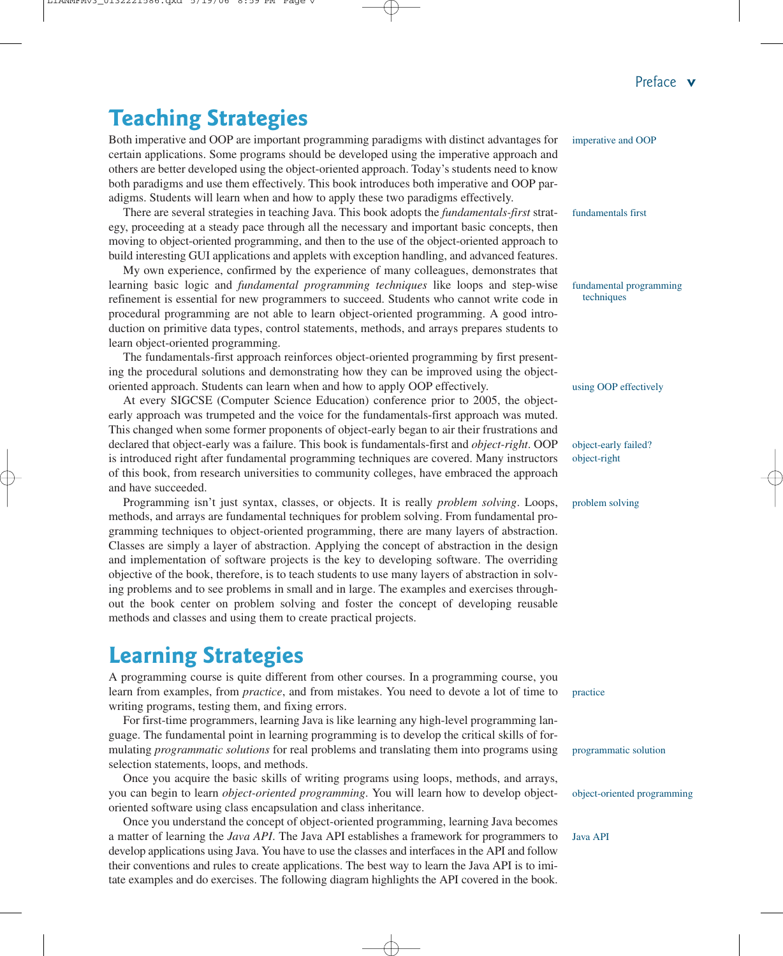## **Teaching Strategies**

Both imperative and OOP are important programming paradigms with distinct advantages for certain applications. Some programs should be developed using the imperative approach and others are better developed using the object-oriented approach. Today's students need to know both paradigms and use them effectively. This book introduces both imperative and OOP paradigms. Students will learn when and how to apply these two paradigms effectively.

There are several strategies in teaching Java. This book adopts the *fundamentals-first* strategy, proceeding at a steady pace through all the necessary and important basic concepts, then moving to object-oriented programming, and then to the use of the object-oriented approach to build interesting GUI applications and applets with exception handling, and advanced features.

My own experience, confirmed by the experience of many colleagues, demonstrates that learning basic logic and *fundamental programming techniques* like loops and step-wise refinement is essential for new programmers to succeed. Students who cannot write code in procedural programming are not able to learn object-oriented programming. A good introduction on primitive data types, control statements, methods, and arrays prepares students to learn object-oriented programming.

The fundamentals-first approach reinforces object-oriented programming by first presenting the procedural solutions and demonstrating how they can be improved using the objectoriented approach. Students can learn when and how to apply OOP effectively.

At every SIGCSE (Computer Science Education) conference prior to 2005, the objectearly approach was trumpeted and the voice for the fundamentals-first approach was muted. This changed when some former proponents of object-early began to air their frustrations and declared that object-early was a failure. This book is fundamentals-first and *object-right*. OOP is introduced right after fundamental programming techniques are covered. Many instructors of this book, from research universities to community colleges, have embraced the approach and have succeeded.

Programming isn't just syntax, classes, or objects. It is really *problem solving*. Loops, methods, and arrays are fundamental techniques for problem solving. From fundamental programming techniques to object-oriented programming, there are many layers of abstraction. Classes are simply a layer of abstraction. Applying the concept of abstraction in the design and implementation of software projects is the key to developing software. The overriding objective of the book, therefore, is to teach students to use many layers of abstraction in solving problems and to see problems in small and in large. The examples and exercises throughout the book center on problem solving and foster the concept of developing reusable methods and classes and using them to create practical projects.

### **Learning Strategies**

A programming course is quite different from other courses. In a programming course, you learn from examples, from *practice*, and from mistakes. You need to devote a lot of time to writing programs, testing them, and fixing errors.

For first-time programmers, learning Java is like learning any high-level programming language. The fundamental point in learning programming is to develop the critical skills of formulating *programmatic solutions* for real problems and translating them into programs using selection statements, loops, and methods.

Once you acquire the basic skills of writing programs using loops, methods, and arrays, you can begin to learn *object-oriented programming*. You will learn how to develop objectoriented software using class encapsulation and class inheritance.

Once you understand the concept of object-oriented programming, learning Java becomes a matter of learning the *Java API*. The Java API establishes a framework for programmers to develop applications using Java. You have to use the classes and interfaces in the API and follow their conventions and rules to create applications. The best way to learn the Java API is to imitate examples and do exercises. The following diagram highlights the API covered in the book.

fundamentals first fundamental programming techniques imperative and OOP using OOP effectively object-early failed? object-right problem solving practice

programmatic solution

object-oriented programming

Java API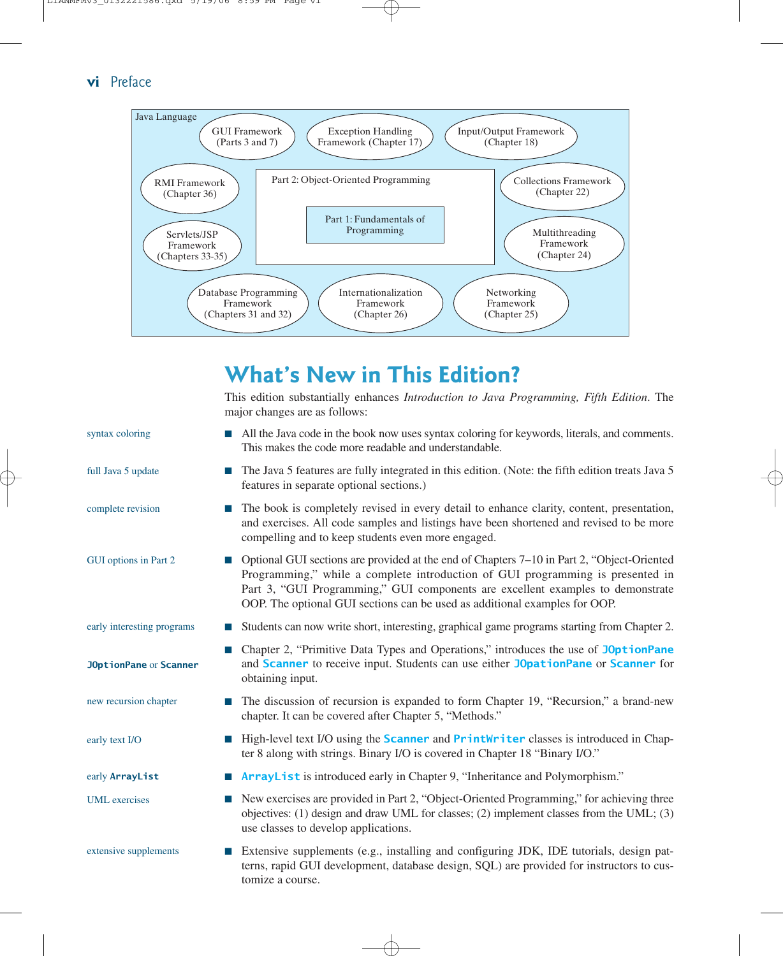### **vi** Preface



### **What's New in This Edition?**

This edition substantially enhances *Introduction to Java Programming, Fifth Edition*. The major changes are as follows:

| syntax coloring               | All the Java code in the book now uses syntax coloring for keywords, literals, and comments.<br>This makes the code more readable and understandable.                                                                                                                                                                                          |
|-------------------------------|------------------------------------------------------------------------------------------------------------------------------------------------------------------------------------------------------------------------------------------------------------------------------------------------------------------------------------------------|
| full Java 5 update            | The Java 5 features are fully integrated in this edition. (Note: the fifth edition treats Java 5<br>features in separate optional sections.)                                                                                                                                                                                                   |
| complete revision             | The book is completely revised in every detail to enhance clarity, content, presentation,<br>and exercises. All code samples and listings have been shortened and revised to be more<br>compelling and to keep students even more engaged.                                                                                                     |
| GUI options in Part 2         | Optional GUI sections are provided at the end of Chapters 7–10 in Part 2, "Object-Oriented"<br>Programming," while a complete introduction of GUI programming is presented in<br>Part 3, "GUI Programming," GUI components are excellent examples to demonstrate<br>OOP. The optional GUI sections can be used as additional examples for OOP. |
| early interesting programs    | Students can now write short, interesting, graphical game programs starting from Chapter 2.                                                                                                                                                                                                                                                    |
| <b>JOptionPane or Scanner</b> | Chapter 2, "Primitive Data Types and Operations," introduces the use of JOptionPane<br>and Scanner to receive input. Students can use either JOpationPane or Scanner for<br>obtaining input.                                                                                                                                                   |
| new recursion chapter         | The discussion of recursion is expanded to form Chapter 19, "Recursion," a brand-new<br>chapter. It can be covered after Chapter 5, "Methods."                                                                                                                                                                                                 |
| early text I/O                | High-level text I/O using the <b>Scanner</b> and <b>PrintWriter</b> classes is introduced in Chap-<br>ter 8 along with strings. Binary I/O is covered in Chapter 18 "Binary I/O."                                                                                                                                                              |
| early ArrayList               | ArrayList is introduced early in Chapter 9, "Inheritance and Polymorphism."                                                                                                                                                                                                                                                                    |
| <b>UML</b> exercises          | New exercises are provided in Part 2, "Object-Oriented Programming," for achieving three<br>objectives: (1) design and draw UML for classes; (2) implement classes from the UML; (3)<br>use classes to develop applications.                                                                                                                   |
| extensive supplements         | Extensive supplements (e.g., installing and configuring JDK, IDE tutorials, design pat-<br>terns, rapid GUI development, database design, SQL) are provided for instructors to cus-<br>tomize a course.                                                                                                                                        |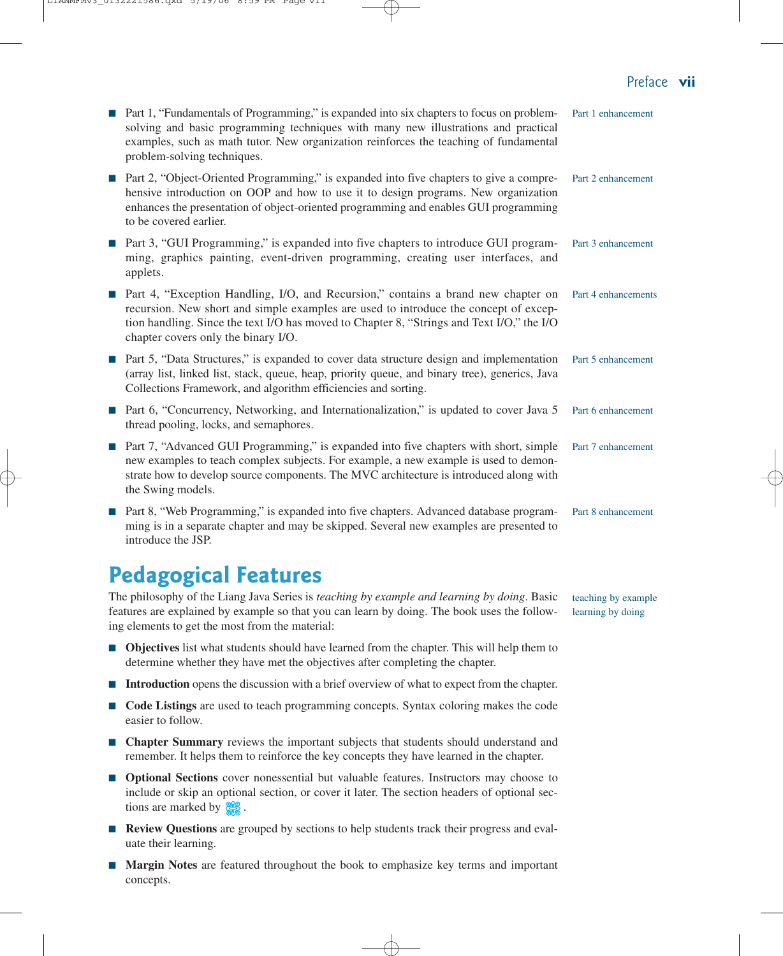### Preface **vii**

| ■ Part 1, "Fundamentals of Programming," is expanded into six chapters to focus on problem-<br>solving and basic programming techniques with many new illustrations and practical<br>examples, such as math tutor. New organization reinforces the teaching of fundamental<br>problem-solving techniques.                      | Part 1 enhancement                       |
|--------------------------------------------------------------------------------------------------------------------------------------------------------------------------------------------------------------------------------------------------------------------------------------------------------------------------------|------------------------------------------|
| ■ Part 2, "Object-Oriented Programming," is expanded into five chapters to give a compre-<br>hensive introduction on OOP and how to use it to design programs. New organization<br>enhances the presentation of object-oriented programming and enables GUI programming<br>to be covered earlier.                              | Part 2 enhancement                       |
| Part 3, "GUI Programming," is expanded into five chapters to introduce GUI program-<br>ming, graphics painting, event-driven programming, creating user interfaces, and<br>applets.                                                                                                                                            | Part 3 enhancement                       |
| <b>Example 1</b> Part 4, "Exception Handling, I/O, and Recursion," contains a brand new chapter on<br>recursion. New short and simple examples are used to introduce the concept of excep-<br>tion handling. Since the text I/O has moved to Chapter 8, "Strings and Text I/O," the I/O<br>chapter covers only the binary I/O. | Part 4 enhancements                      |
| ■ Part 5, "Data Structures," is expanded to cover data structure design and implementation<br>(array list, linked list, stack, queue, heap, priority queue, and binary tree), generics, Java<br>Collections Framework, and algorithm efficiencies and sorting.                                                                 | Part 5 enhancement                       |
| ■ Part 6, "Concurrency, Networking, and Internationalization," is updated to cover Java 5<br>thread pooling, locks, and semaphores.                                                                                                                                                                                            | Part 6 enhancement                       |
| ■ Part 7, "Advanced GUI Programming," is expanded into five chapters with short, simple<br>new examples to teach complex subjects. For example, a new example is used to demon-<br>strate how to develop source components. The MVC architecture is introduced along with<br>the Swing models.                                 | Part 7 enhancement                       |
| ■ Part 8, "Web Programming," is expanded into five chapters. Advanced database program-<br>ming is in a separate chapter and may be skipped. Several new examples are presented to<br>introduce the JSP.                                                                                                                       | Part 8 enhancement                       |
| <b>Pedagogical Features</b>                                                                                                                                                                                                                                                                                                    |                                          |
| The philosophy of the Liang Java Series is teaching by example and learning by doing. Basic<br>features are explained by example so that you can learn by doing. The book uses the follow-<br>ing elements to get the most from the material:                                                                                  | teaching by example<br>learning by doing |
| • Objectives list what students should have learned from the chapter. This will help them to                                                                                                                                                                                                                                   |                                          |

- determine whether they have met the objectives after completing the chapter. ■ **Introduction** opens the discussion with a brief overview of what to expect from the chapter.
- **Code Listings** are used to teach programming concepts. Syntax coloring makes the code
- easier to follow.
- **Chapter Summary** reviews the important subjects that students should understand and remember. It helps them to reinforce the key concepts they have learned in the chapter.
- **Optional Sections** cover nonessential but valuable features. Instructors may choose to include or skip an optional section, or cover it later. The section headers of optional sections are marked by  $\frac{90}{50}$ .
- **Review Questions** are grouped by sections to help students track their progress and evaluate their learning.
- **Margin Notes** are featured throughout the book to emphasize key terms and important concepts.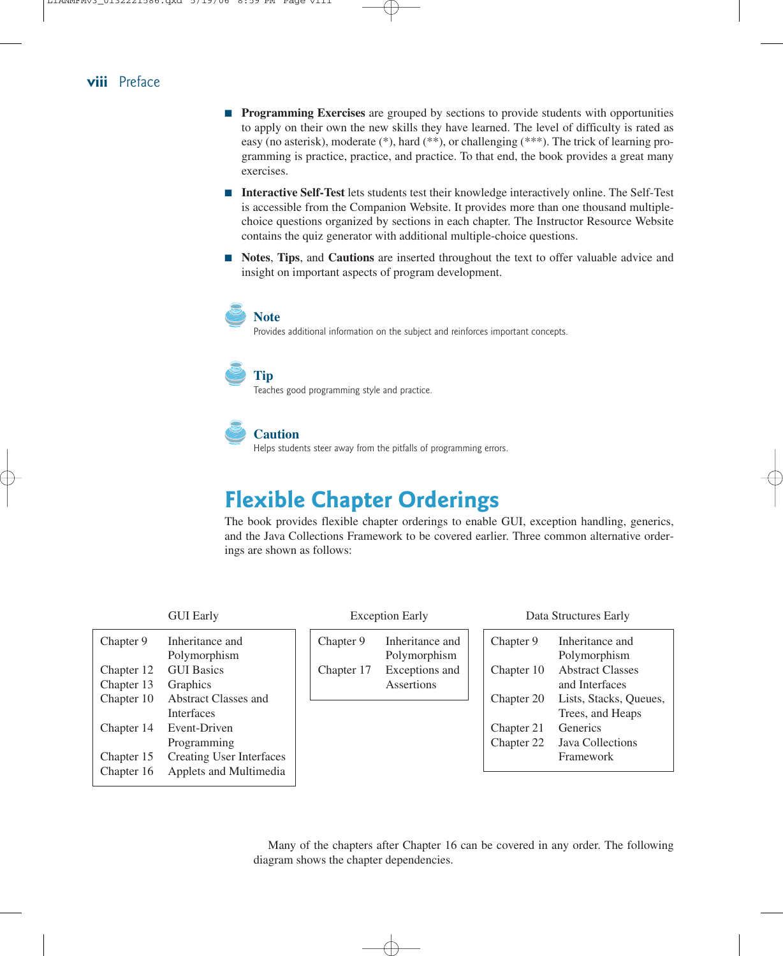- **Programming Exercises** are grouped by sections to provide students with opportunities to apply on their own the new skills they have learned. The level of difficulty is rated as easy (no asterisk), moderate (\*), hard (\*\*), or challenging (\*\*\*). The trick of learning programming is practice, practice, and practice. To that end, the book provides a great many exercises.
- **Interactive Self-Test** lets students test their knowledge interactively online. The Self-Test is accessible from the Companion Website. It provides more than one thousand multiplechoice questions organized by sections in each chapter. The Instructor Resource Website contains the quiz generator with additional multiple-choice questions.
- **Notes**, **Tips**, and **Cautions** are inserted throughout the text to offer valuable advice and insight on important aspects of program development.



Provides additional information on the subject and reinforces important concepts.



Teaches good programming style and practice.



Helps students steer away from the pitfalls of programming errors.

## **Flexible Chapter Orderings**

The book provides flexible chapter orderings to enable GUI, exception handling, generics, and the Java Collections Framework to be covered earlier. Three common alternative orderings are shown as follows:

|            | <b>GUI Early</b>                | <b>Exception Early</b> |                                 | Data Structures Early |                                 |  |
|------------|---------------------------------|------------------------|---------------------------------|-----------------------|---------------------------------|--|
| Chapter 9  | Inheritance and<br>Polymorphism | Chapter 9              | Inheritance and<br>Polymorphism | Chapter 9             | Inheritance and<br>Polymorphism |  |
| Chapter 12 | <b>GUI Basics</b>               | Chapter 17             | Exceptions and                  | Chapter 10            | <b>Abstract Classes</b>         |  |
| Chapter 13 | Graphics                        |                        | Assertions                      |                       | and Interfaces                  |  |
| Chapter 10 | Abstract Classes and            |                        |                                 | Chapter 20            | Lists, Stacks, Queues,          |  |
|            | Interfaces                      |                        |                                 |                       | Trees, and Heaps                |  |
| Chapter 14 | Event-Driven                    |                        |                                 | Chapter 21            | Generics                        |  |
|            | Programming                     |                        |                                 | Chapter 22            | Java Collections                |  |
| Chapter 15 | <b>Creating User Interfaces</b> |                        |                                 |                       | Framework                       |  |
| Chapter 16 | Applets and Multimedia          |                        |                                 |                       |                                 |  |

Many of the chapters after Chapter 16 can be covered in any order. The following diagram shows the chapter dependencies.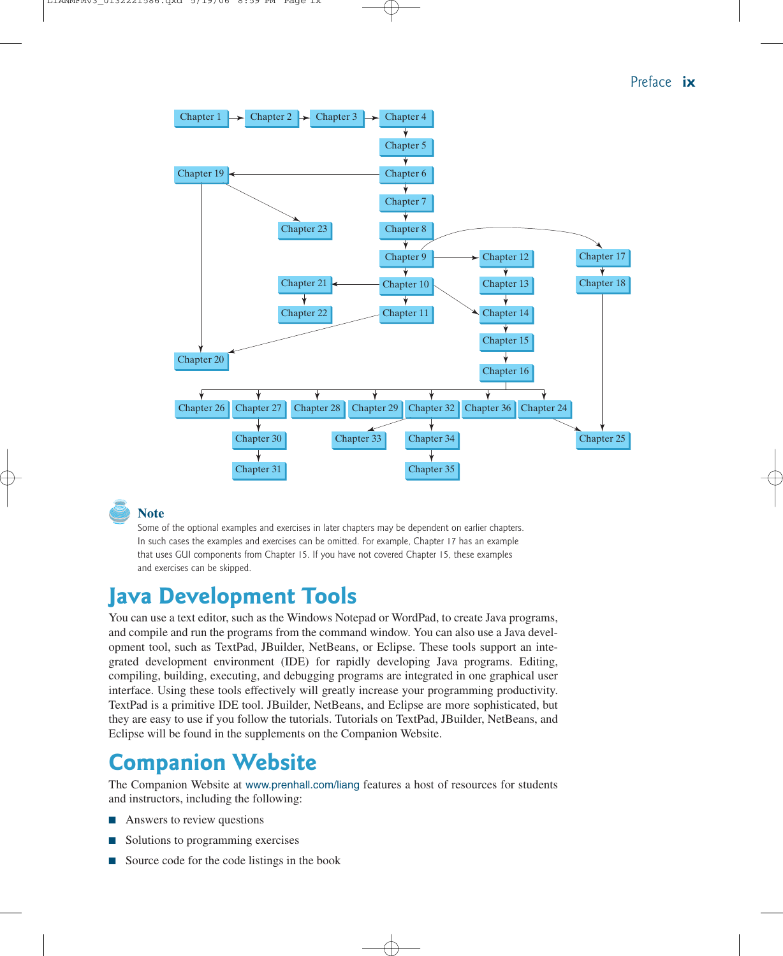

### **Note**

Some of the optional examples and exercises in later chapters may be dependent on earlier chapters. In such cases the examples and exercises can be omitted. For example, Chapter 17 has an example that uses GUI components from Chapter 15. If you have not covered Chapter 15, these examples and exercises can be skipped.

## **Java Development Tools**

You can use a text editor, such as the Windows Notepad or WordPad, to create Java programs, and compile and run the programs from the command window. You can also use a Java development tool, such as TextPad, JBuilder, NetBeans, or Eclipse. These tools support an integrated development environment (IDE) for rapidly developing Java programs. Editing, compiling, building, executing, and debugging programs are integrated in one graphical user interface. Using these tools effectively will greatly increase your programming productivity. TextPad is a primitive IDE tool. JBuilder, NetBeans, and Eclipse are more sophisticated, but they are easy to use if you follow the tutorials. Tutorials on TextPad, JBuilder, NetBeans, and Eclipse will be found in the supplements on the Companion Website.

## **Companion Website**

The Companion Website at www.prenhall.com/liang features a host of resources for students and instructors, including the following:

- Answers to review questions
- Solutions to programming exercises
- Source code for the code listings in the book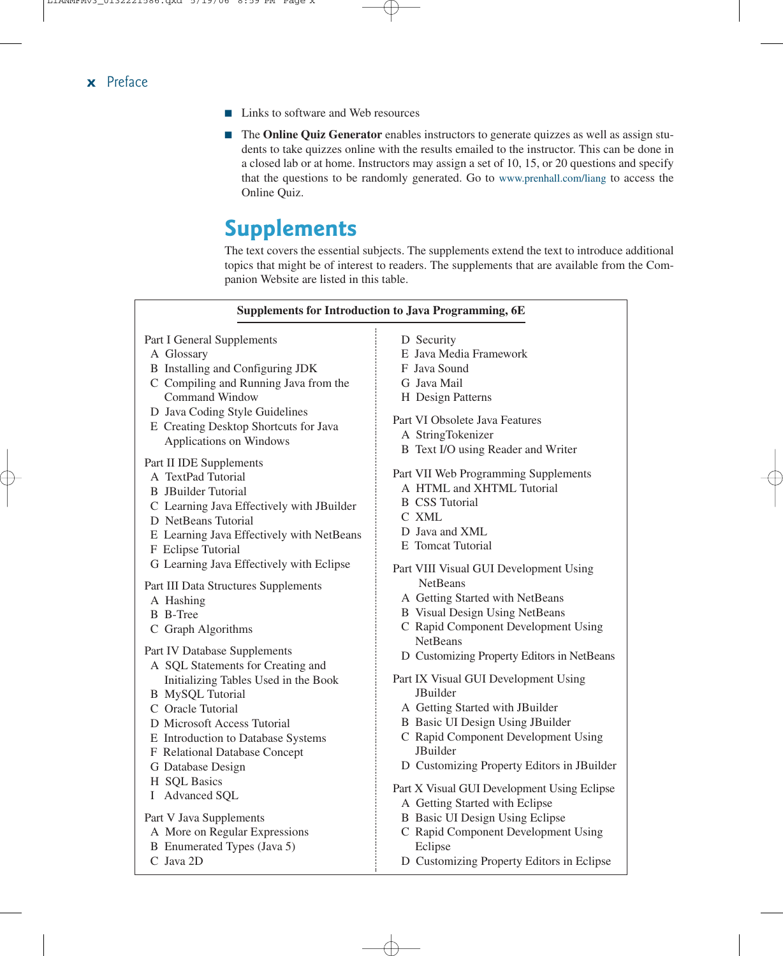- Links to software and Web resources
- The **Online Quiz Generator** enables instructors to generate quizzes as well as assign students to take quizzes online with the results emailed to the instructor. This can be done in a closed lab or at home. Instructors may assign a set of 10, 15, or 20 questions and specify that the questions to be randomly generated. Go to www.prenhall.com/liang to access the Online Quiz.

### **Supplements**

The text covers the essential subjects. The supplements extend the text to introduce additional topics that might be of interest to readers. The supplements that are available from the Companion Website are listed in this table.

| Supplements for Introduction to Java Programming, 6E |                                                                              |  |
|------------------------------------------------------|------------------------------------------------------------------------------|--|
| Part I General Supplements                           | D Security                                                                   |  |
| A Glossary                                           | E Java Media Framework                                                       |  |
| <b>B</b> Installing and Configuring JDK              | F Java Sound                                                                 |  |
| C Compiling and Running Java from the                | G Java Mail                                                                  |  |
| Command Window                                       | H Design Patterns                                                            |  |
| D Java Coding Style Guidelines                       |                                                                              |  |
| E Creating Desktop Shortcuts for Java                | Part VI Obsolete Java Features                                               |  |
| Applications on Windows                              | A StringTokenizer                                                            |  |
| Part II IDE Supplements                              | B Text I/O using Reader and Writer                                           |  |
| A TextPad Tutorial                                   | Part VII Web Programming Supplements                                         |  |
| <b>B</b> JBuilder Tutorial                           | A HTML and XHTML Tutorial                                                    |  |
| C Learning Java Effectively with JBuilder            | <b>B</b> CSS Tutorial                                                        |  |
| D NetBeans Tutorial                                  | C XML                                                                        |  |
| E Learning Java Effectively with NetBeans            | D Java and XML                                                               |  |
| F Eclipse Tutorial                                   | E Tomcat Tutorial                                                            |  |
| G Learning Java Effectively with Eclipse             |                                                                              |  |
|                                                      | Part VIII Visual GUI Development Using                                       |  |
| Part III Data Structures Supplements                 | <b>NetBeans</b>                                                              |  |
| A Hashing                                            | A Getting Started with NetBeans                                              |  |
| <b>B</b> B-Tree                                      | <b>B</b> Visual Design Using NetBeans<br>C Rapid Component Development Using |  |
| C Graph Algorithms                                   | <b>NetBeans</b>                                                              |  |
| Part IV Database Supplements                         | D Customizing Property Editors in NetBeans                                   |  |
| A SQL Statements for Creating and                    |                                                                              |  |
| Initializing Tables Used in the Book                 | Part IX Visual GUI Development Using                                         |  |
| <b>B</b> MySQL Tutorial                              | JBuilder                                                                     |  |
| C Oracle Tutorial                                    | A Getting Started with JBuilder                                              |  |
| D Microsoft Access Tutorial                          | <b>B</b> Basic UI Design Using JBuilder                                      |  |
| E Introduction to Database Systems                   | C Rapid Component Development Using                                          |  |
| F Relational Database Concept                        | JBuilder                                                                     |  |
| G Database Design                                    | D Customizing Property Editors in JBuilder                                   |  |
| H SQL Basics                                         | Part X Visual GUI Development Using Eclipse                                  |  |
| I Advanced SQL                                       | A Getting Started with Eclipse                                               |  |
| Part V Java Supplements                              | <b>B</b> Basic UI Design Using Eclipse                                       |  |
| A More on Regular Expressions                        | C Rapid Component Development Using                                          |  |
| B Enumerated Types (Java 5)                          | Eclipse                                                                      |  |
| C Java 2D                                            | D Customizing Property Editors in Eclipse                                    |  |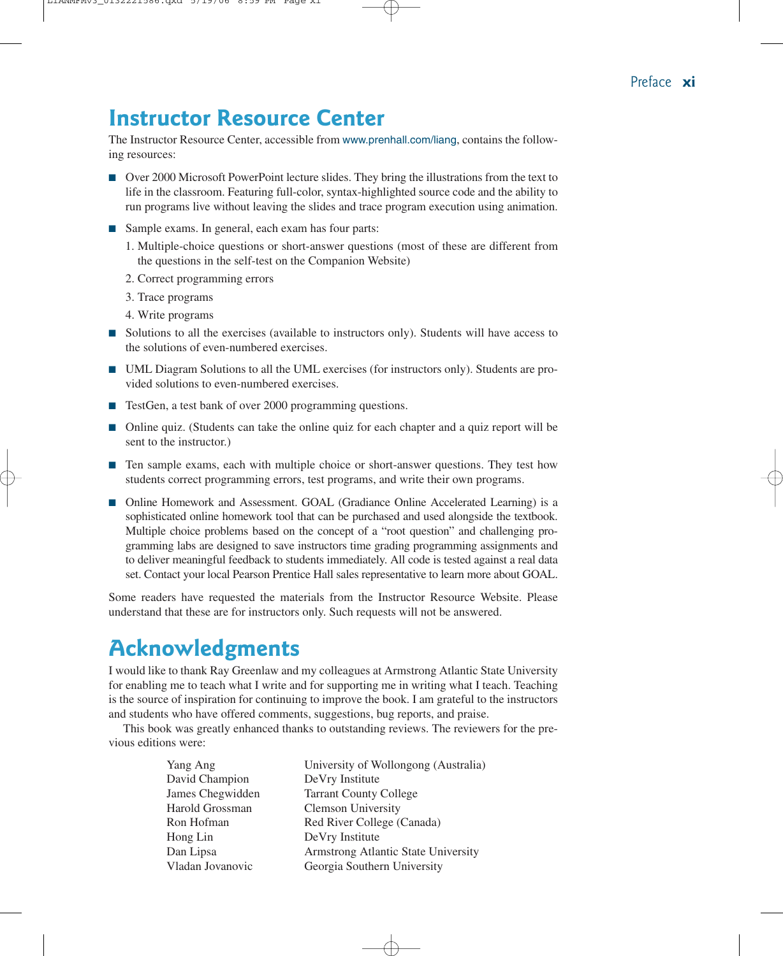## **Instructor Resource Center**

The Instructor Resource Center, accessible from www.prenhall.com/liang, contains the following resources:

- Over 2000 Microsoft PowerPoint lecture slides. They bring the illustrations from the text to life in the classroom. Featuring full-color, syntax-highlighted source code and the ability to run programs live without leaving the slides and trace program execution using animation.
- Sample exams. In general, each exam has four parts:
	- 1. Multiple-choice questions or short-answer questions (most of these are different from the questions in the self-test on the Companion Website)
	- 2. Correct programming errors
	- 3. Trace programs
	- 4. Write programs
- Solutions to all the exercises (available to instructors only). Students will have access to the solutions of even-numbered exercises.
- UML Diagram Solutions to all the UML exercises (for instructors only). Students are provided solutions to even-numbered exercises.
- TestGen, a test bank of over 2000 programming questions.
- Online quiz. (Students can take the online quiz for each chapter and a quiz report will be sent to the instructor.)
- Ten sample exams, each with multiple choice or short-answer questions. They test how students correct programming errors, test programs, and write their own programs.
- Online Homework and Assessment. GOAL (Gradiance Online Accelerated Learning) is a sophisticated online homework tool that can be purchased and used alongside the textbook. Multiple choice problems based on the concept of a "root question" and challenging programming labs are designed to save instructors time grading programming assignments and to deliver meaningful feedback to students immediately. All code is tested against a real data set. Contact your local Pearson Prentice Hall sales representative to learn more about GOAL.

Some readers have requested the materials from the Instructor Resource Website. Please understand that these are for instructors only. Such requests will not be answered.

## **Acknowledgments**

I would like to thank Ray Greenlaw and my colleagues at Armstrong Atlantic State University for enabling me to teach what I write and for supporting me in writing what I teach. Teaching is the source of inspiration for continuing to improve the book. I am grateful to the instructors and students who have offered comments, suggestions, bug reports, and praise.

This book was greatly enhanced thanks to outstanding reviews. The reviewers for the previous editions were:

> Yang Ang University of Wollongong (Australia) David Champion DeVry Institute James Chegwidden Tarrant County College Harold Grossman Clemson University Ron Hofman Red River College (Canada) Hong Lin DeVry Institute Dan Lipsa Armstrong Atlantic State University Vladan Jovanovic Georgia Southern University